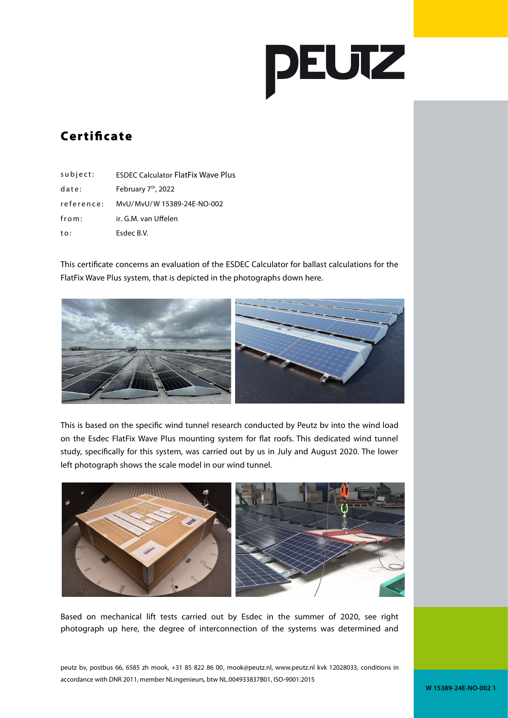

## **Certificate**

| subject:   | <b>ESDEC Calculator FlatFix Wave Plus</b> |
|------------|-------------------------------------------|
| date:      | February 7 <sup>th</sup> , 2022           |
| reference: | MvU/MvU/W 15389-24E-NO-002                |
| from:      | ir. G.M. van Uffelen                      |
| to:        | Esdec B.V.                                |

This certificate concerns an evaluation of the ESDEC Calculator for ballast calculations for the FlatFix Wave Plus system, that is depicted in the photographs down here.



This is based on the specific wind tunnel research conducted by Peutz bv into the wind load on the Esdec FlatFix Wave Plus mounting system for flat roofs. This dedicated wind tunnel study, specifically for this system, was carried out by us in July and August 2020. The lower left photograph shows the scale model in our wind tunnel.



Based on mechanical lift tests carried out by Esdec in the summer of 2020, see right photograph up here, the degree of interconnection of the systems was determined and